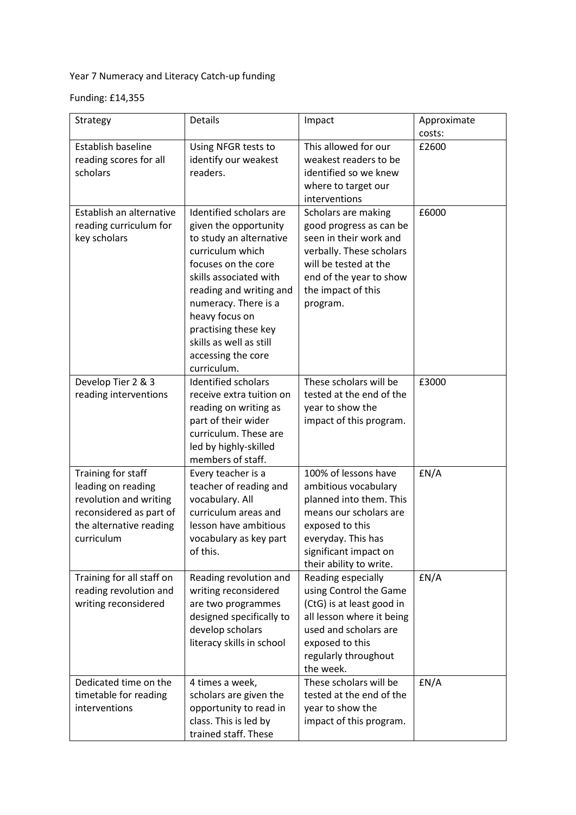## Year 7 Numeracy and Literacy Catch-up funding

Funding: £14,355

| Strategy                                            | Details                                        | Impact                                            | Approximate |
|-----------------------------------------------------|------------------------------------------------|---------------------------------------------------|-------------|
|                                                     |                                                |                                                   | costs:      |
| <b>Establish baseline</b>                           | Using NFGR tests to                            | This allowed for our                              | £2600       |
| reading scores for all                              | identify our weakest                           | weakest readers to be                             |             |
| scholars                                            | readers.                                       | identified so we knew                             |             |
|                                                     |                                                | where to target our                               |             |
|                                                     |                                                | interventions                                     |             |
| Establish an alternative                            | Identified scholars are                        | Scholars are making                               | £6000       |
| reading curriculum for                              | given the opportunity                          | good progress as can be                           |             |
| key scholars                                        | to study an alternative                        | seen in their work and                            |             |
|                                                     | curriculum which<br>focuses on the core        | verbally. These scholars<br>will be tested at the |             |
|                                                     | skills associated with                         |                                                   |             |
|                                                     | reading and writing and                        | end of the year to show<br>the impact of this     |             |
|                                                     | numeracy. There is a                           | program.                                          |             |
|                                                     | heavy focus on                                 |                                                   |             |
|                                                     | practising these key                           |                                                   |             |
|                                                     | skills as well as still                        |                                                   |             |
|                                                     | accessing the core                             |                                                   |             |
|                                                     | curriculum.                                    |                                                   |             |
| Develop Tier 2 & 3                                  | Identified scholars                            | These scholars will be                            | £3000       |
| reading interventions                               | receive extra tuition on                       | tested at the end of the                          |             |
|                                                     | reading on writing as                          | year to show the                                  |             |
|                                                     | part of their wider                            | impact of this program.                           |             |
|                                                     | curriculum. These are                          |                                                   |             |
|                                                     | led by highly-skilled                          |                                                   |             |
|                                                     | members of staff.                              |                                                   |             |
| Training for staff                                  | Every teacher is a                             | 100% of lessons have                              | EN/A        |
| leading on reading                                  | teacher of reading and                         | ambitious vocabulary                              |             |
| revolution and writing                              | vocabulary. All                                | planned into them. This                           |             |
| reconsidered as part of                             | curriculum areas and                           | means our scholars are                            |             |
| the alternative reading                             | lesson have ambitious                          | exposed to this                                   |             |
| curriculum                                          | vocabulary as key part                         | everyday. This has                                |             |
|                                                     | of this.                                       | significant impact on                             |             |
|                                                     |                                                | their ability to write.<br>Reading especially     | EN/A        |
| Training for all staff on<br>reading revolution and | Reading revolution and<br>writing reconsidered | using Control the Game                            |             |
| writing reconsidered                                | are two programmes                             | (CtG) is at least good in                         |             |
|                                                     | designed specifically to                       | all lesson where it being                         |             |
|                                                     | develop scholars                               | used and scholars are                             |             |
|                                                     | literacy skills in school                      | exposed to this                                   |             |
|                                                     |                                                | regularly throughout                              |             |
|                                                     |                                                | the week.                                         |             |
| Dedicated time on the                               | 4 times a week,                                | These scholars will be                            | EN/A        |
| timetable for reading                               | scholars are given the                         | tested at the end of the                          |             |
| interventions                                       | opportunity to read in                         | year to show the                                  |             |
|                                                     | class. This is led by                          | impact of this program.                           |             |
|                                                     | trained staff. These                           |                                                   |             |